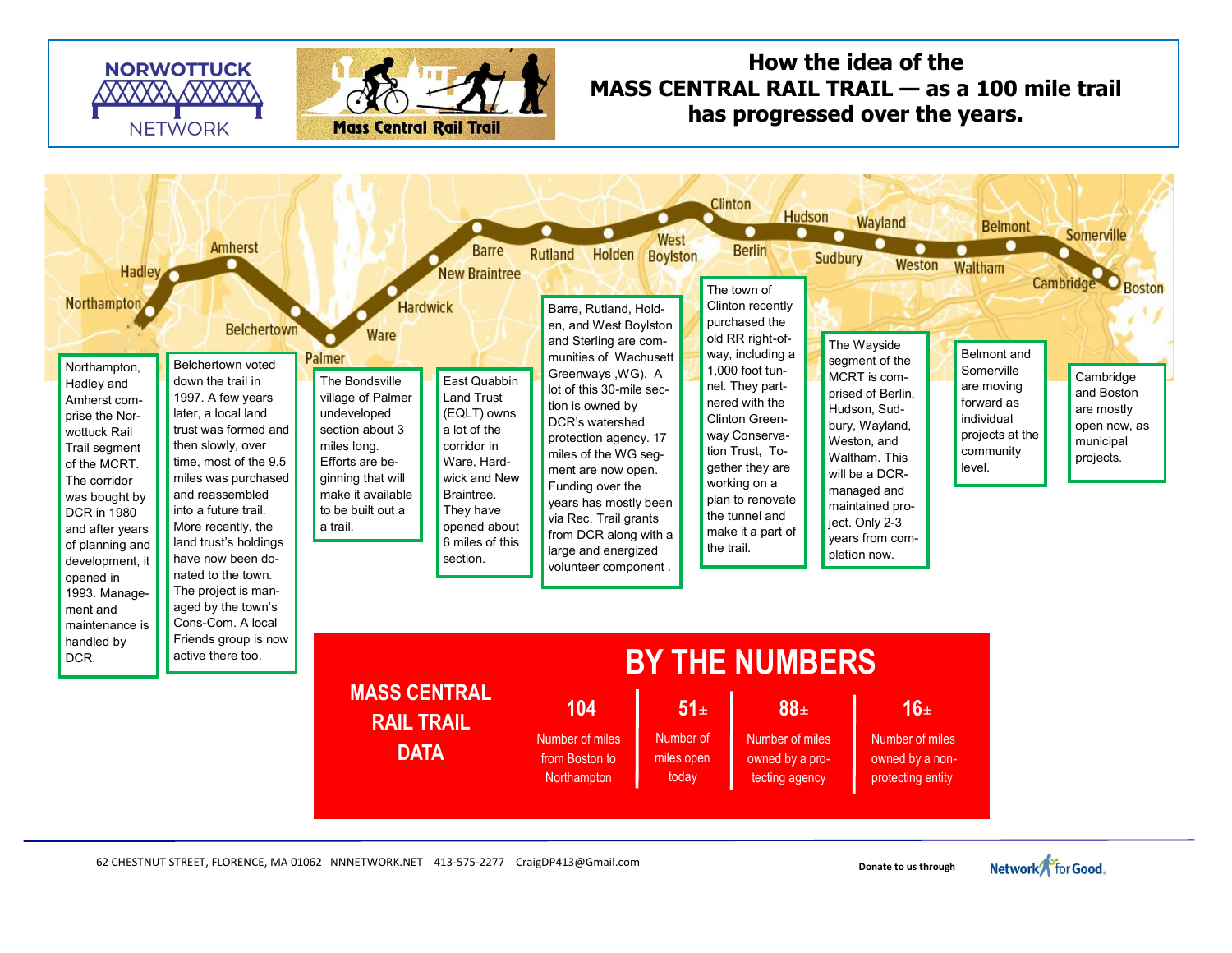



## **How the idea of the MASS CENTRAL RAIL TRAIL — as a 100 mile trail has progressed over the years.**